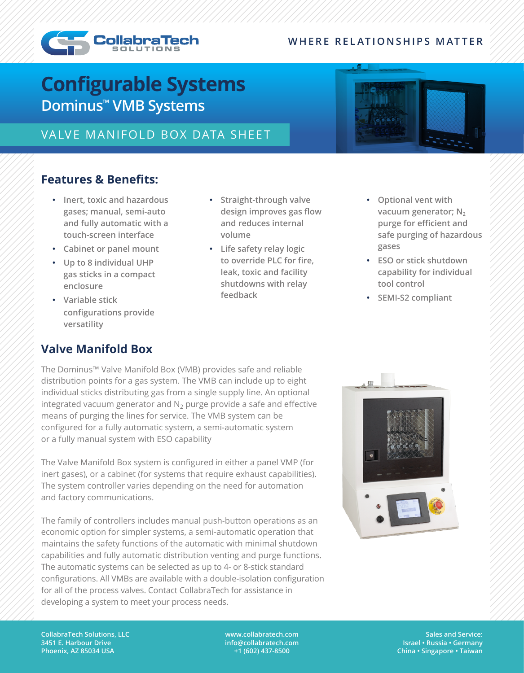#### **WHERE RELATIONSHIPS MATTER**



# **Configurable Systems Dominus™ VMB Systems**

## VALVE MANIFOLD BOX DATA SHEET

### **Features & Benefits:**

- **• Inert, toxic and hazardous gases; manual, semi-auto and fully automatic with a touch-screen interface**
- **• Cabinet or panel mount**
- **• Up to 8 individual UHP gas sticks in a compact enclosure**
- **• Variable stick configurations provide versatility**
- **• Straight-through valve design improves gas flow and reduces internal volume**
- **• Life safety relay logic to override PLC for fire, leak, toxic and facility shutdowns with relay feedback**
- **• Optional vent with**  vacuum generator; N<sub>2</sub> **purge for efficient and safe purging of hazardous gases**
- **• ESO or stick shutdown capability for individual tool control**
- **• SEMI-S2 compliant**

## **Valve Manifold Box**

The Dominus™ Valve Manifold Box (VMB) provides safe and reliable distribution points for a gas system. The VMB can include up to eight individual sticks distributing gas from a single supply line. An optional integrated vacuum generator and  $N_2$  purge provide a safe and effective means of purging the lines for service. The VMB system can be configured for a fully automatic system, a semi-automatic system or a fully manual system with ESO capability

The Valve Manifold Box system is configured in either a panel VMP (for inert gases), or a cabinet (for systems that require exhaust capabilities). The system controller varies depending on the need for automation and factory communications.

The family of controllers includes manual push-button operations as an economic option for simpler systems, a semi-automatic operation that maintains the safety functions of the automatic with minimal shutdown capabilities and fully automatic distribution venting and purge functions. The automatic systems can be selected as up to 4- or 8-stick standard configurations. All VMBs are available with a double-isolation configuration for all of the process valves. Contact CollabraTech for assistance in developing a system to meet your process needs.



**CollabraTech Solutions, LLC 3451 E. Harbour Drive Phoenix, AZ 85034 USA**

**www.collabratech.com info@collabratech.com +1 (602) 437-8500**

**Sales and Service: Israel • Russia • Germany China • Singapore • Taiwan**